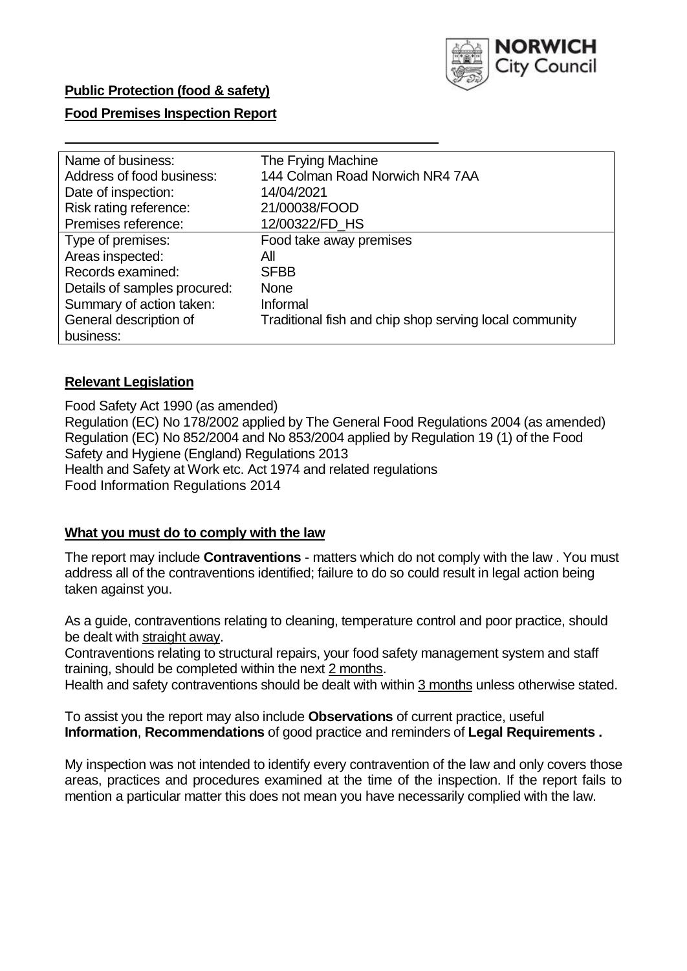

## **Public Protection (food & safety)**

## **Food Premises Inspection Report**

| Name of business:            | The Frying Machine                                     |
|------------------------------|--------------------------------------------------------|
| Address of food business:    | 144 Colman Road Norwich NR4 7AA                        |
| Date of inspection:          | 14/04/2021                                             |
| Risk rating reference:       | 21/00038/FOOD                                          |
| Premises reference:          | 12/00322/FD_HS                                         |
| Type of premises:            | Food take away premises                                |
| Areas inspected:             | All                                                    |
| Records examined:            | <b>SFBB</b>                                            |
| Details of samples procured: | <b>None</b>                                            |
| Summary of action taken:     | Informal                                               |
| General description of       | Traditional fish and chip shop serving local community |
| business:                    |                                                        |

#### **Relevant Legislation**

 Food Safety Act 1990 (as amended) Regulation (EC) No 178/2002 applied by The General Food Regulations 2004 (as amended) Regulation (EC) No 852/2004 and No 853/2004 applied by Regulation 19 (1) of the Food Safety and Hygiene (England) Regulations 2013 Health and Safety at Work etc. Act 1974 and related regulations Food Information Regulations 2014

#### **What you must do to comply with the law**

 The report may include **Contraventions** - matters which do not comply with the law . You must address all of the contraventions identified; failure to do so could result in legal action being taken against you.

 As a guide, contraventions relating to cleaning, temperature control and poor practice, should be dealt with straight away.

 Contraventions relating to structural repairs, your food safety management system and staff training, should be completed within the next 2 months.

Health and safety contraventions should be dealt with within 3 months unless otherwise stated.

 To assist you the report may also include **Observations** of current practice, useful **Information**, **Recommendations** of good practice and reminders of **Legal Requirements .** 

 My inspection was not intended to identify every contravention of the law and only covers those areas, practices and procedures examined at the time of the inspection. If the report fails to mention a particular matter this does not mean you have necessarily complied with the law.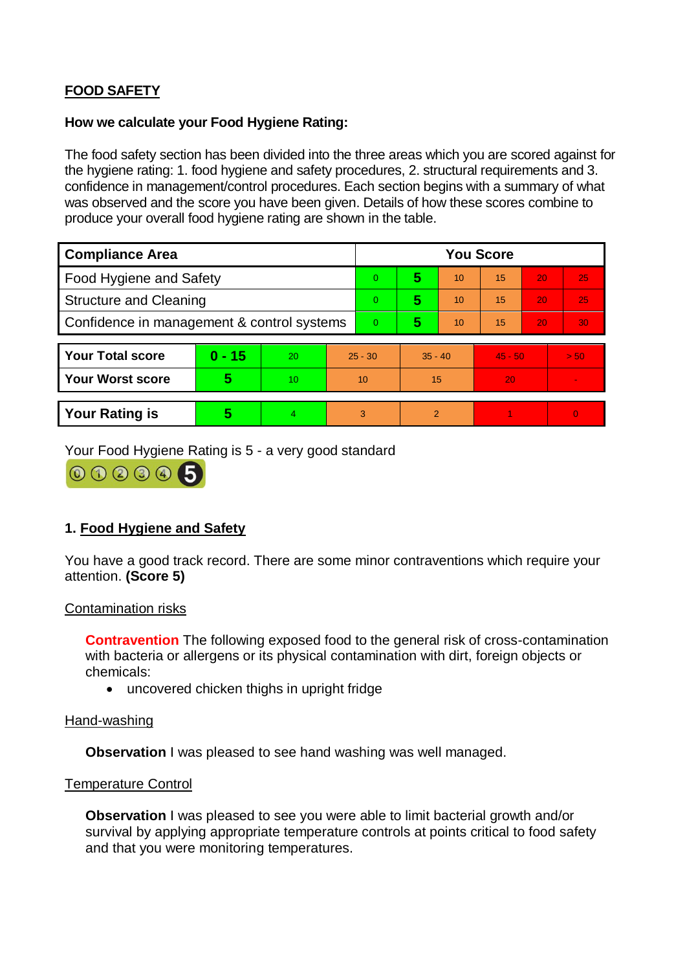# **FOOD SAFETY**

## **How we calculate your Food Hygiene Rating:**

 The food safety section has been divided into the three areas which you are scored against for the hygiene rating: 1. food hygiene and safety procedures, 2. structural requirements and 3. confidence in management/control procedures. Each section begins with a summary of what was observed and the score you have been given. Details of how these scores combine to produce your overall food hygiene rating are shown in the table.

| <b>Compliance Area</b>                     |          |    |                | <b>You Score</b> |           |    |           |    |                |  |  |
|--------------------------------------------|----------|----|----------------|------------------|-----------|----|-----------|----|----------------|--|--|
| Food Hygiene and Safety                    |          |    |                | $\Omega$         | 5         | 10 | 15        | 20 | 25             |  |  |
| <b>Structure and Cleaning</b>              |          |    | $\Omega$       | 5                | 10        | 15 | 20        | 25 |                |  |  |
| Confidence in management & control systems |          |    | $\overline{0}$ | 5                | 10        | 15 | 20        | 30 |                |  |  |
|                                            |          |    |                |                  |           |    |           |    |                |  |  |
| <b>Your Total score</b>                    | $0 - 15$ | 20 | $25 - 30$      |                  | $35 - 40$ |    | $45 - 50$ |    | > 50           |  |  |
| Your Worst score                           | 5        | 10 | 10             |                  | 15        |    | 20        |    |                |  |  |
|                                            |          |    |                |                  |           |    |           |    |                |  |  |
| <b>Your Rating is</b>                      | 5        | 4  |                | 3                | 2         |    |           |    | $\overline{0}$ |  |  |

Your Food Hygiene Rating is 5 - a very good standard

000006

## **1. Food Hygiene and Safety**

You have a good track record. There are some minor contraventions which require your attention. **(Score 5)** 

#### Contamination risks

 with bacteria or allergens or its physical contamination with dirt, foreign objects or **Contravention** The following exposed food to the general risk of cross-contamination chemicals:

uncovered chicken thighs in upright fridge

#### Hand-washing

**Observation** I was pleased to see hand washing was well managed.

#### Temperature Control

 **Observation** I was pleased to see you were able to limit bacterial growth and/or survival by applying appropriate temperature controls at points critical to food safety and that you were monitoring temperatures.